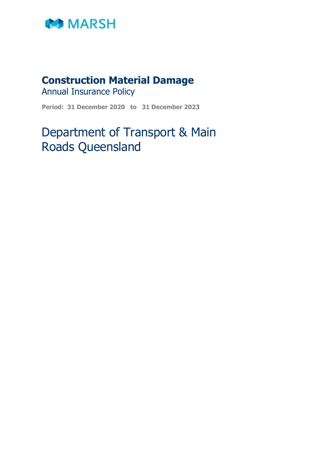

# **Construction Material Damage**

Annual Insurance Policy

**Period: 31 December 2020 to 31 December 2023**

# Department of Transport & Main Roads Queensland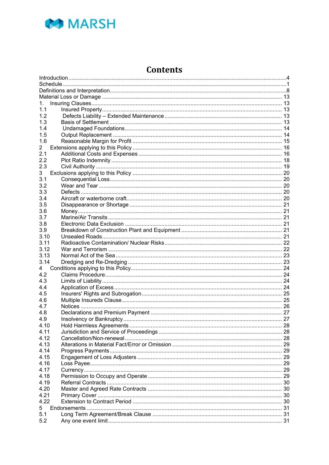

# **Contents**

| 1.   |  |  |  |  |  |
|------|--|--|--|--|--|
| 1.1  |  |  |  |  |  |
| 1.2  |  |  |  |  |  |
| 1.3  |  |  |  |  |  |
| 1.4  |  |  |  |  |  |
| 1.5  |  |  |  |  |  |
| 1.6  |  |  |  |  |  |
| 2    |  |  |  |  |  |
| 2.1  |  |  |  |  |  |
| 2.2  |  |  |  |  |  |
| 2.3  |  |  |  |  |  |
| 3    |  |  |  |  |  |
| 3.1  |  |  |  |  |  |
| 3.2  |  |  |  |  |  |
| 3.3  |  |  |  |  |  |
| 3.4  |  |  |  |  |  |
| 3.5  |  |  |  |  |  |
| 3.6  |  |  |  |  |  |
| 3.7  |  |  |  |  |  |
| 3.8  |  |  |  |  |  |
| 3.9  |  |  |  |  |  |
| 3.10 |  |  |  |  |  |
| 3.11 |  |  |  |  |  |
| 3.12 |  |  |  |  |  |
| 3.13 |  |  |  |  |  |
| 3.14 |  |  |  |  |  |
| 4    |  |  |  |  |  |
| 4.2  |  |  |  |  |  |
| 4.3  |  |  |  |  |  |
| 4.4  |  |  |  |  |  |
|      |  |  |  |  |  |
| 4.5  |  |  |  |  |  |
| 4.6  |  |  |  |  |  |
| 4.7  |  |  |  |  |  |
| 4.8  |  |  |  |  |  |
| 4.9  |  |  |  |  |  |
| 4.10 |  |  |  |  |  |
| 4.11 |  |  |  |  |  |
| 4.12 |  |  |  |  |  |
| 4.13 |  |  |  |  |  |
| 4.14 |  |  |  |  |  |
| 4.15 |  |  |  |  |  |
| 4.16 |  |  |  |  |  |
| 4.17 |  |  |  |  |  |
| 4.18 |  |  |  |  |  |
| 4.19 |  |  |  |  |  |
| 4.20 |  |  |  |  |  |
| 4.21 |  |  |  |  |  |
| 4.22 |  |  |  |  |  |
| 5    |  |  |  |  |  |
| 5.1  |  |  |  |  |  |
| 5.2  |  |  |  |  |  |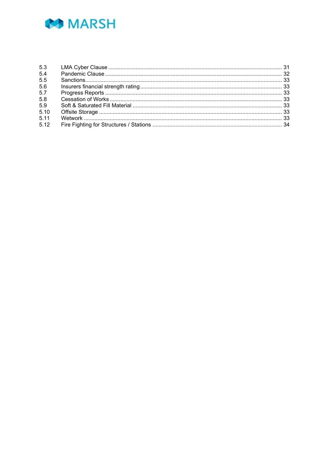

| 5.3  |  |
|------|--|
| 5.4  |  |
| 5.5  |  |
| 5.6  |  |
| 5.7  |  |
| 5.8  |  |
| 5.9  |  |
| 5.10 |  |
| 5.11 |  |
| 5.12 |  |
|      |  |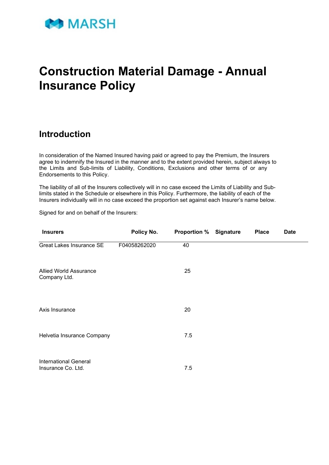

# **Construction Material Damage - Annual Insurance Policy**

# <span id="page-3-0"></span>**Introduction**

In consideration of the Named Insured having paid or agreed to pay the Premium, the Insurers agree to indemnify the Insured in the manner and to the extent provided herein, subject always to the Limits and Sub-limits of Liability, Conditions, Exclusions and other terms of or any Endorsements to this Policy.

The liability of all of the Insurers collectively will in no case exceed the Limits of Liability and Sublimits stated in the Schedule or elsewhere in this Policy. Furthermore, the liability of each of the Insurers individually will in no case exceed the proportion set against each Insurer's name below.

Signed for and on behalf of the Insurers:

| <b>Insurers</b>                                    | Policy No.   | <b>Proportion % Signature</b> | <b>Place</b> | <b>Date</b> |
|----------------------------------------------------|--------------|-------------------------------|--------------|-------------|
| <b>Great Lakes Insurance SE</b>                    | F04058262020 | 40                            |              |             |
| <b>Allied World Assurance</b><br>Company Ltd.      |              | 25                            |              |             |
| Axis Insurance                                     |              | 20                            |              |             |
| Helvetia Insurance Company                         |              | 7.5                           |              |             |
| <b>International General</b><br>Insurance Co. Ltd. |              | 7.5                           |              |             |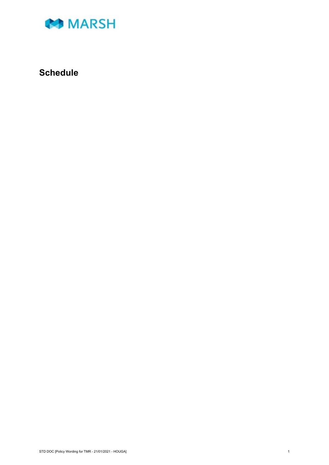

# <span id="page-4-0"></span>**Schedule**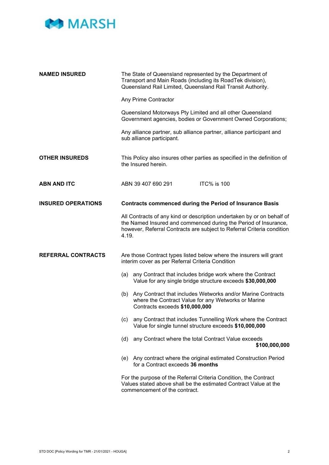

| <b>NAMED INSURED</b>      | The State of Queensland represented by the Department of<br>Transport and Main Roads (including its RoadTek division),<br>Queensland Rail Limited, Queensland Rail Transit Authority.                                        |  |  |
|---------------------------|------------------------------------------------------------------------------------------------------------------------------------------------------------------------------------------------------------------------------|--|--|
|                           | Any Prime Contractor                                                                                                                                                                                                         |  |  |
|                           | Queensland Motorways Pty Limited and all other Queensland<br>Government agencies, bodies or Government Owned Corporations;                                                                                                   |  |  |
|                           | Any alliance partner, sub alliance partner, alliance participant and<br>sub alliance participant.                                                                                                                            |  |  |
| <b>OTHER INSUREDS</b>     | This Policy also insures other parties as specified in the definition of<br>the Insured herein.                                                                                                                              |  |  |
| <b>ABN AND ITC</b>        | ITC% is 100<br>ABN 39 407 690 291                                                                                                                                                                                            |  |  |
| <b>INSURED OPERATIONS</b> | <b>Contracts commenced during the Period of Insurance Basis</b>                                                                                                                                                              |  |  |
|                           | All Contracts of any kind or description undertaken by or on behalf of<br>the Named Insured and commenced during the Period of Insurance,<br>however, Referral Contracts are subject to Referral Criteria condition<br>4.19. |  |  |
| <b>REFERRAL CONTRACTS</b> | Are those Contract types listed below where the insurers will grant<br>interim cover as per Referral Criteria Condition                                                                                                      |  |  |
|                           | any Contract that includes bridge work where the Contract<br>(a)<br>Value for any single bridge structure exceeds \$30,000,000                                                                                               |  |  |
|                           | Any Contract that includes Wetworks and/or Marine Contracts<br>(b)<br>where the Contract Value for any Wetworks or Marine<br>Contracts exceeds \$10,000,000                                                                  |  |  |
|                           | any Contract that includes Tunnelling Work where the Contract<br>(c)<br>Value for single tunnel structure exceeds \$10,000,000                                                                                               |  |  |
|                           | any Contract where the total Contract Value exceeds<br>(d)<br>\$100,000,000                                                                                                                                                  |  |  |
|                           | (e) Any contract where the original estimated Construction Period<br>for a Contract exceeds 36 months                                                                                                                        |  |  |
|                           | For the purpose of the Referral Criteria Condition, the Contract<br>Values stated above shall be the estimated Contract Value at the<br>commencement of the contract.                                                        |  |  |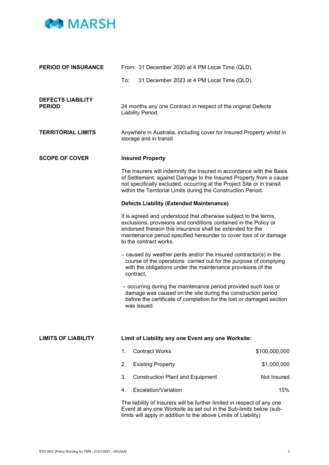

| <b>PERIOD OF INSURANCE</b>                                                                                                                                                                                       | From: 31 December 2020 at 4 PM Local Time (QLD).                                                                                                                                                                                                                                                 |                                                                                                                                                                                                                                                                                       |               |
|------------------------------------------------------------------------------------------------------------------------------------------------------------------------------------------------------------------|--------------------------------------------------------------------------------------------------------------------------------------------------------------------------------------------------------------------------------------------------------------------------------------------------|---------------------------------------------------------------------------------------------------------------------------------------------------------------------------------------------------------------------------------------------------------------------------------------|---------------|
|                                                                                                                                                                                                                  | To:                                                                                                                                                                                                                                                                                              | 31 December 2023 at 4 PM Local Time (QLD).                                                                                                                                                                                                                                            |               |
| <b>DEFECTS LIABILITY</b><br><b>PERIOD</b><br><b>TERRITORIAL LIMITS</b>                                                                                                                                           | 24 months any one Contract in respect of the original Defects<br>Liability Period.<br>Anywhere in Australia, including cover for Insured Property whilst in                                                                                                                                      |                                                                                                                                                                                                                                                                                       |               |
|                                                                                                                                                                                                                  |                                                                                                                                                                                                                                                                                                  | storage and in transit                                                                                                                                                                                                                                                                |               |
| <b>SCOPE OF COVER</b><br><b>Insured Property</b>                                                                                                                                                                 |                                                                                                                                                                                                                                                                                                  |                                                                                                                                                                                                                                                                                       |               |
|                                                                                                                                                                                                                  |                                                                                                                                                                                                                                                                                                  | The Insurers will indemnify the Insured in accordance with the Basis<br>of Settlement, against Damage to the Insured Property from a cause<br>not specifically excluded, occurring at the Project Site or in transit<br>within the Territorial Limits during the Construction Period. |               |
|                                                                                                                                                                                                                  |                                                                                                                                                                                                                                                                                                  | <b>Defects Liability (Extended Maintenance)</b>                                                                                                                                                                                                                                       |               |
|                                                                                                                                                                                                                  | It is agreed and understood that otherwise subject to the terms,<br>exclusions, provisions and conditions contained in the Policy or<br>endorsed thereon this insurance shall be extended for the<br>maintenance period specified hereunder to cover loss of or damage<br>to the contract works. |                                                                                                                                                                                                                                                                                       |               |
|                                                                                                                                                                                                                  | $-$ caused by weather perils and/or the insured contractor(s) in the<br>course of the operations carried out for the purpose of complying<br>with the obligations under the maintenance provisions of the<br>contract,                                                                           |                                                                                                                                                                                                                                                                                       |               |
|                                                                                                                                                                                                                  | - occurring during the maintenance period provided such loss or<br>damage was caused on the site during the construction period<br>before the certificate of completion for the lost or damaged section<br>was issued.                                                                           |                                                                                                                                                                                                                                                                                       |               |
|                                                                                                                                                                                                                  |                                                                                                                                                                                                                                                                                                  |                                                                                                                                                                                                                                                                                       |               |
| <b>LIMITS OF LIABILITY</b>                                                                                                                                                                                       |                                                                                                                                                                                                                                                                                                  | Limit of Liability any one Event any one Worksite:                                                                                                                                                                                                                                    |               |
|                                                                                                                                                                                                                  | 1.                                                                                                                                                                                                                                                                                               | <b>Contract Works</b>                                                                                                                                                                                                                                                                 | \$100,000,000 |
|                                                                                                                                                                                                                  | 2.                                                                                                                                                                                                                                                                                               | <b>Existing Property</b>                                                                                                                                                                                                                                                              | \$1,000,000   |
|                                                                                                                                                                                                                  | 3.                                                                                                                                                                                                                                                                                               | <b>Construction Plant and Equipment</b>                                                                                                                                                                                                                                               | Not Insured   |
|                                                                                                                                                                                                                  | 4.                                                                                                                                                                                                                                                                                               | Escalation/Variation                                                                                                                                                                                                                                                                  | 15%           |
| The liability of Insurers will be further limited in respect of any one<br>Event at any one Worksite as set out in the Sub-limits below (sub-<br>limits will apply in addition to the above Limits of Liability) |                                                                                                                                                                                                                                                                                                  |                                                                                                                                                                                                                                                                                       |               |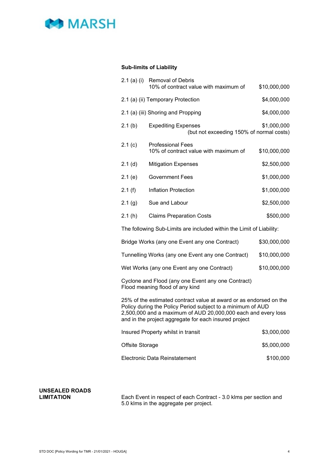

### **Sub-limits of Liability**

| $2.1$ (a) (i)                                                                                                                                                                                                                                               | <b>Removal of Debris</b>                                               |              |  |  |
|-------------------------------------------------------------------------------------------------------------------------------------------------------------------------------------------------------------------------------------------------------------|------------------------------------------------------------------------|--------------|--|--|
|                                                                                                                                                                                                                                                             | 10% of contract value with maximum of                                  | \$10,000,000 |  |  |
|                                                                                                                                                                                                                                                             | 2.1 (a) (ii) Temporary Protection                                      | \$4,000,000  |  |  |
|                                                                                                                                                                                                                                                             | 2.1 (a) (iii) Shoring and Propping                                     | \$4,000,000  |  |  |
| 2.1(b)                                                                                                                                                                                                                                                      | <b>Expediting Expenses</b><br>(but not exceeding 150% of normal costs) | \$1,000,000  |  |  |
| 2.1(c)                                                                                                                                                                                                                                                      | <b>Professional Fees</b><br>10% of contract value with maximum of      | \$10,000,000 |  |  |
| $2.1$ (d)                                                                                                                                                                                                                                                   | <b>Mitigation Expenses</b>                                             | \$2,500,000  |  |  |
| 2.1(e)                                                                                                                                                                                                                                                      | Government Fees                                                        | \$1,000,000  |  |  |
| 2.1(f)                                                                                                                                                                                                                                                      | <b>Inflation Protection</b>                                            | \$1,000,000  |  |  |
| 2.1(g)                                                                                                                                                                                                                                                      | Sue and Labour                                                         | \$2,500,000  |  |  |
| 2.1(h)                                                                                                                                                                                                                                                      | <b>Claims Preparation Costs</b>                                        | \$500,000    |  |  |
|                                                                                                                                                                                                                                                             | The following Sub-Limits are included within the Limit of Liability:   |              |  |  |
| Bridge Works (any one Event any one Contract)<br>\$30,000,000                                                                                                                                                                                               |                                                                        |              |  |  |
| Tunnelling Works (any one Event any one Contract)<br>\$10,000,000                                                                                                                                                                                           |                                                                        |              |  |  |
| Wet Works (any one Event any one Contract)<br>\$10,000,000                                                                                                                                                                                                  |                                                                        |              |  |  |
| Cyclone and Flood (any one Event any one Contract)<br>Flood meaning flood of any kind                                                                                                                                                                       |                                                                        |              |  |  |
| 25% of the estimated contract value at award or as endorsed on the<br>Policy during the Policy Period subject to a minimum of AUD<br>2,500,000 and a maximum of AUD 20,000,000 each and every loss<br>and in the project aggregate for each insured project |                                                                        |              |  |  |
|                                                                                                                                                                                                                                                             | Insured Property whilst in transit<br>\$3,000,000                      |              |  |  |
| Offsite Storage                                                                                                                                                                                                                                             |                                                                        | \$5,000,000  |  |  |

Electronic Data Reinstatement \$100,000

**UNSEALED ROADS**

Each Event in respect of each Contract - 3.0 klms per section and 5.0 klms in the aggregate per project.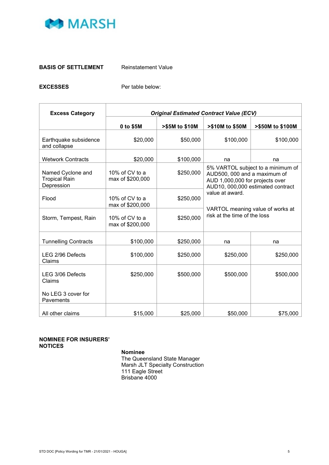

#### **BASIS OF SETTLEMENT** Reinstatement Value

**EXCESSES** Per table below:

| <b>Excess Category</b>                                  | <b>Original Estimated Contract Value (ECV)</b> |                |                                                                                                                                                                                                                                  |                  |  |
|---------------------------------------------------------|------------------------------------------------|----------------|----------------------------------------------------------------------------------------------------------------------------------------------------------------------------------------------------------------------------------|------------------|--|
|                                                         | 0 to \$5M                                      | >\$5M to \$10M | >\$10M to \$50M                                                                                                                                                                                                                  | >\$50M to \$100M |  |
| Earthquake subsidence<br>and collapse                   | \$20,000                                       | \$50,000       | \$100,000                                                                                                                                                                                                                        | \$100,000        |  |
| <b>Wetwork Contracts</b>                                | \$20,000                                       | \$100,000      | na                                                                                                                                                                                                                               | na               |  |
| Named Cyclone and<br><b>Tropical Rain</b><br>Depression | 10% of CV to a<br>max of \$200,000             | \$250,000      | 5% VARTOL subject to a minimum of<br>AUD500, 000 and a maximum of<br>AUD 1,000,000 for projects over<br>AUD10, 000,000 estimated contract<br>value at award.<br>VARTOL meaning value of works at<br>risk at the time of the loss |                  |  |
| Flood                                                   | 10% of CV to a<br>max of \$200,000             | \$250,000      |                                                                                                                                                                                                                                  |                  |  |
| Storm, Tempest, Rain                                    | 10% of CV to a<br>max of \$200,000             | \$250,000      |                                                                                                                                                                                                                                  |                  |  |
| <b>Tunnelling Contracts</b>                             | \$100,000                                      | \$250,000      | na                                                                                                                                                                                                                               | na               |  |
| LEG 2/96 Defects<br>Claims                              | \$100,000                                      | \$250,000      | \$250,000                                                                                                                                                                                                                        | \$250,000        |  |
| LEG 3/06 Defects<br>Claims                              | \$250,000                                      | \$500,000      | \$500,000                                                                                                                                                                                                                        | \$500,000        |  |
| No LEG 3 cover for<br>Pavements                         |                                                |                |                                                                                                                                                                                                                                  |                  |  |
| All other claims                                        | \$15,000                                       | \$25,000       | \$50,000                                                                                                                                                                                                                         | \$75,000         |  |

#### **NOMINEE FOR INSURERS' NOTICES**

**Nominee**

The Queensland State Manager Marsh JLT Specialty Construction 111 Eagle Street Brisbane 4000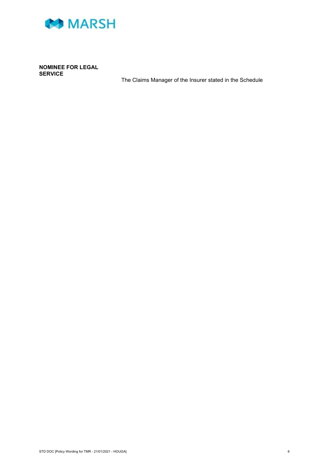

**NOMINEE FOR LEGAL SERVICE**

The Claims Manager of the Insurer stated in the Schedule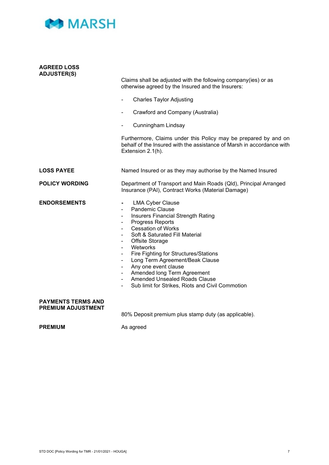

| <b>AGREED LOSS</b><br><b>ADJUSTER(S)</b>               | Claims shall be adjusted with the following company(ies) or as<br>otherwise agreed by the Insured and the Insurers:<br><b>Charles Taylor Adjusting</b><br>Crawford and Company (Australia)<br>Cunningham Lindsay<br>Furthermore, Claims under this Policy may be prepared by and on<br>behalf of the Insured with the assistance of Marsh in accordance with<br>Extension 2.1(h).                                                                                                                                             |  |
|--------------------------------------------------------|-------------------------------------------------------------------------------------------------------------------------------------------------------------------------------------------------------------------------------------------------------------------------------------------------------------------------------------------------------------------------------------------------------------------------------------------------------------------------------------------------------------------------------|--|
| <b>LOSS PAYEE</b>                                      | Named Insured or as they may authorise by the Named Insured                                                                                                                                                                                                                                                                                                                                                                                                                                                                   |  |
| <b>POLICY WORDING</b>                                  | Department of Transport and Main Roads (QId), Principal Arranged<br>Insurance (PAI), Contract Works (Material Damage)                                                                                                                                                                                                                                                                                                                                                                                                         |  |
| <b>ENDORSEMENTS</b>                                    | <b>LMA Cyber Clause</b><br>$\blacksquare$<br><b>Pandemic Clause</b><br>Insurers Financial Strength Rating<br>$\blacksquare$<br>Progress Reports<br><b>Cessation of Works</b><br>Soft & Saturated Fill Material<br>$\blacksquare$<br>Offsite Storage<br>Wetworks<br>Fire Fighting for Structures/Stations<br>Long Term Agreement/Beak Clause<br>Any one event clause<br>Amended long Term Agreement<br>$\sim$ 100 $\mu$<br>Amended Unsealed Roads Clause<br>$\blacksquare$<br>Sub limit for Strikes, Riots and Civil Commotion |  |
| <b>PAYMENTS TERMS AND</b><br><b>PREMIUM ADJUSTMENT</b> | 80% Deposit premium plus stamp duty (as applicable).                                                                                                                                                                                                                                                                                                                                                                                                                                                                          |  |

**PREMIUM** As agreed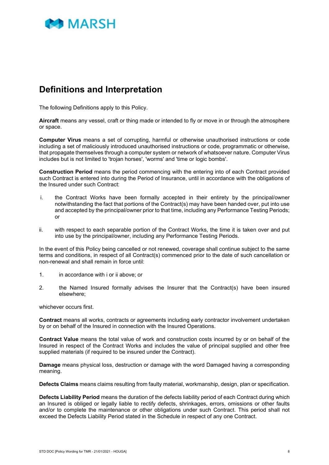

# <span id="page-11-0"></span>**Definitions and Interpretation**

The following Definitions apply to this Policy.

**Aircraft** means any vessel, craft or thing made or intended to fly or move in or through the atmosphere or space.

**Computer Virus** means a set of corrupting, harmful or otherwise unauthorised instructions or code including a set of maliciously introduced unauthorised instructions or code, programmatic or otherwise, that propagate themselves through a computer system or network of whatsoever nature. Computer Virus includes but is not limited to 'trojan horses', 'worms' and 'time or logic bombs'.

**Construction Period** means the period commencing with the entering into of each Contract provided such Contract is entered into during the Period of Insurance, until in accordance with the obligations of the Insured under such Contract:

- i. the Contract Works have been formally accepted in their entirety by the principal/owner notwithstanding the fact that portions of the Contract(s) may have been handed over, put into use and accepted by the principal/owner prior to that time, including any Performance Testing Periods; or
- ii. with respect to each separable portion of the Contract Works, the time it is taken over and put into use by the principal/owner, including any Performance Testing Periods.

In the event of this Policy being cancelled or not renewed, coverage shall continue subject to the same terms and conditions, in respect of all Contract(s) commenced prior to the date of such cancellation or non-renewal and shall remain in force until:

- 1. in accordance with i or ii above; or
- 2. the Named Insured formally advises the Insurer that the Contract(s) have been insured elsewhere;

whichever occurs first.

**Contract** means all works, contracts or agreements including early contractor involvement undertaken by or on behalf of the Insured in connection with the Insured Operations.

**Contract Value** means the total value of work and construction costs incurred by or on behalf of the Insured in respect of the Contract Works and includes the value of principal supplied and other free supplied materials (if required to be insured under the Contract).

**Damage** means physical loss, destruction or damage with the word Damaged having a corresponding meaning.

**Defects Claims** means claims resulting from faulty material, workmanship, design, plan or specification.

**Defects Liability Period** means the duration of the defects liability period of each Contract during which an Insured is obliged or legally liable to rectify defects, shrinkages, errors, omissions or other faults and/or to complete the maintenance or other obligations under such Contract. This period shall not exceed the Defects Liability Period stated in the Schedule in respect of any one Contract.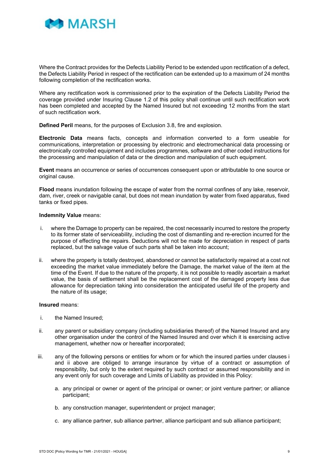

Where the Contract provides for the Defects Liability Period to be extended upon rectification of a defect, the Defects Liability Period in respect of the rectification can be extended up to a maximum of 24 months following completion of the rectification works.

Where any rectification work is commissioned prior to the expiration of the Defects Liability Period the coverage provided under Insuring Clause 1.2 of this policy shall continue until such rectification work has been completed and accepted by the Named Insured but not exceeding 12 months from the start of such rectification work.

**Defined Peril** means, for the purposes of Exclusion 3.8, fire and explosion.

**Electronic Data** means facts, concepts and information converted to a form useable for communications, interpretation or processing by electronic and electromechanical data processing or electronically controlled equipment and includes programmes, software and other coded instructions for the processing and manipulation of data or the direction and manipulation of such equipment.

**Event** means an occurrence or series of occurrences consequent upon or attributable to one source or original cause.

**Flood** means inundation following the escape of water from the normal confines of any lake, reservoir, dam, river, creek or navigable canal, but does not mean inundation by water from fixed apparatus, fixed tanks or fixed pipes.

#### **Indemnity Value** means:

- i. where the Damage to property can be repaired, the cost necessarily incurred to restore the property to its former state of serviceability, including the cost of dismantling and re-erection incurred for the purpose of effecting the repairs. Deductions will not be made for depreciation in respect of parts replaced, but the salvage value of such parts shall be taken into account;
- ii. where the property is totally destroyed, abandoned or cannot be satisfactorily repaired at a cost not exceeding the market value immediately before the Damage, the market value of the item at the time of the Event. If due to the nature of the property, it is not possible to readily ascertain a market value, the basis of settlement shall be the replacement cost of the damaged property less due allowance for depreciation taking into consideration the anticipated useful life of the property and the nature of its usage;

#### **Insured** means:

- i. the Named Insured;
- ii. any parent or subsidiary company (including subsidiaries thereof) of the Named Insured and any other organisation under the control of the Named Insured and over which it is exercising active management, whether now or hereafter incorporated;
- iii. any of the following persons or entities for whom or for which the insured parties under clauses i and ii above are obliged to arrange insurance by virtue of a contract or assumption of responsibility, but only to the extent required by such contract or assumed responsibility and in any event only for such coverage and Limits of Liability as provided in this Policy:
	- a. any principal or owner or agent of the principal or owner; or joint venture partner; or alliance participant;
	- b. any construction manager, superintendent or project manager;
	- c. any alliance partner, sub alliance partner, alliance participant and sub alliance participant;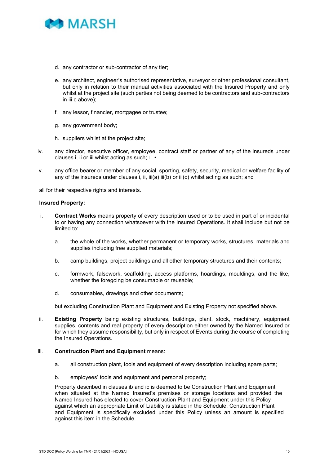

- d. any contractor or sub-contractor of any tier;
- e. any architect, engineer's authorised representative, surveyor or other professional consultant, but only in relation to their manual activities associated with the Insured Property and only whilst at the project site (such parties not being deemed to be contractors and sub-contractors in iii c above);
- f. any lessor, financier, mortgagee or trustee;
- g. any government body;
- h. suppliers whilst at the project site;
- iv. any director, executive officer, employee, contract staff or partner of any of the insureds under clauses i, ii or iii whilst acting as such;  $\Box \bullet$
- v. any office bearer or member of any social, sporting, safety, security, medical or welfare facility of any of the insureds under clauses i, ii, iii(a) iii(b) or iii(c) whilst acting as such; and

all for their respective rights and interests.

#### **Insured Property:**

- i. **Contract Works** means property of every description used or to be used in part of or incidental to or having any connection whatsoever with the Insured Operations. It shall include but not be limited to:
	- a. the whole of the works, whether permanent or temporary works, structures, materials and supplies including free supplied materials;
	- b. camp buildings, project buildings and all other temporary structures and their contents;
	- c. formwork, falsework, scaffolding, access platforms, hoardings, mouldings, and the like, whether the foregoing be consumable or reusable;
	- d. consumables, drawings and other documents;

but excluding Construction Plant and Equipment and Existing Property not specified above.

ii. **Existing Property** being existing structures, buildings, plant, stock, machinery, equipment supplies, contents and real property of every description either owned by the Named Insured or for which they assume responsibility, but only in respect of Events during the course of completing the Insured Operations.

#### iii. **Construction Plant and Equipment** means:

- a. all construction plant, tools and equipment of every description including spare parts;
- b. employees' tools and equipment and personal property;

Property described in clauses ib and ic is deemed to be Construction Plant and Equipment when situated at the Named Insured's premises or storage locations and provided the Named Insured has elected to cover Construction Plant and Equipment under this Policy against which an appropriate Limit of Liability is stated in the Schedule. Construction Plant and Equipment is specifically excluded under this Policy unless an amount is specified against this item in the Schedule.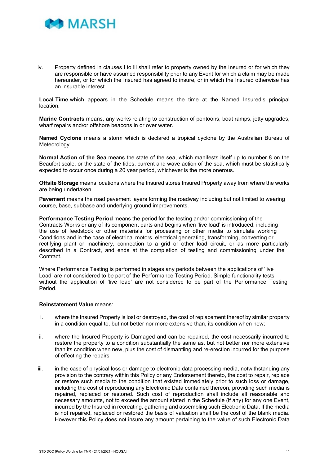

iv. Property defined in clauses i to iii shall refer to property owned by the Insured or for which they are responsible or have assumed responsibility prior to any Event for which a claim may be made hereunder, or for which the Insured has agreed to insure, or in which the Insured otherwise has an insurable interest.

**Local Time** which appears in the Schedule means the time at the Named Insured's principal location.

**Marine Contracts** means, any works relating to construction of pontoons, boat ramps, jetty upgrades, wharf repairs and/or offshore beacons in or over water.

**Named Cyclone** means a storm which is declared a tropical cyclone by the Australian Bureau of Meteorology.

**Normal Action of the Sea** means the state of the sea, which manifests itself up to number 8 on the Beaufort scale, or the state of the tides, current and wave action of the sea, which must be statistically expected to occur once during a 20 year period, whichever is the more onerous.

**Offsite Storage** means locations where the Insured stores Insured Property away from where the works are being undertaken.

**Pavement** means the road pavement layers forming the roadway including but not limited to wearing course, base, subbase and underlying ground improvements.

**Performance Testing Period** means the period for the testing and/or commissioning of the Contracts Works or any of its component parts and begins when 'live load' is introduced, including the use of feedstock or other materials for processing or other media to simulate working Conditions and in the case of electrical motors, electrical generating, transforming, converting or rectifying plant or machinery, connection to a grid or other load circuit, or as more particularly described in a Contract, and ends at the completion of testing and commissioning under the Contract.

Where Performance Testing is performed in stages any periods between the applications of 'live Load' are not considered to be part of the Performance Testing Period. Simple functionality tests without the application of 'live load' are not considered to be part of the Performance Testing Period.

#### **Reinstatement Value** means:

- i. where the Insured Property is lost or destroyed, the cost of replacement thereof by similar property in a condition equal to, but not better nor more extensive than, its condition when new;
- ii. where the Insured Property is Damaged and can be repaired, the cost necessarily incurred to restore the property to a condition substantially the same as, but not better nor more extensive than its condition when new, plus the cost of dismantling and re-erection incurred for the purpose of effecting the repairs
- iii. in the case of physical loss or damage to electronic data processing media, notwithstanding any provision to the contrary within this Policy or any Endorsement thereto, the cost to repair, replace or restore such media to the condition that existed immediately prior to such loss or damage, including the cost of reproducing any Electronic Data contained thereon, providing such media is repaired, replaced or restored. Such cost of reproduction shall include all reasonable and necessary amounts, not to exceed the amount stated in the Schedule (if any) for any one Event, incurred by the Insured in recreating, gathering and assembling such Electronic Data. If the media is not repaired, replaced or restored the basis of valuation shall be the cost of the blank media. However this Policy does not insure any amount pertaining to the value of such Electronic Data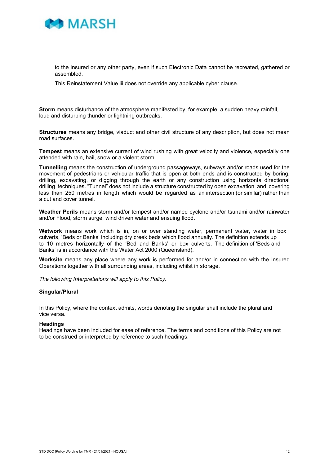

to the Insured or any other party, even if such Electronic Data cannot be recreated, gathered or assembled.

This Reinstatement Value iii does not override any applicable cyber clause.

**Storm** means disturbance of the atmosphere manifested by, for example, a sudden heavy rainfall, loud and disturbing thunder or lightning outbreaks.

**Structures** means any bridge, viaduct and other civil structure of any description, but does not mean road surfaces.

**Tempest** means an extensive current of wind rushing with great velocity and violence, especially one attended with rain, hail, snow or a violent storm

**Tunnelling** means the construction of underground passageways, subways and/or roads used for the movement of pedestrians or vehicular traffic that is open at both ends and is constructed by boring, drilling, excavating, or digging through the earth or any construction using horizontal directional drilling techniques. "Tunnel" does not include a structure constructed by open excavation and covering less than 250 metres in length which would be regarded as an intersection (or similar) rather than a cut and cover tunnel.

**Weather Perils** means storm and/or tempest and/or named cyclone and/or tsunami and/or rainwater and/or Flood, storm surge, wind driven water and ensuing flood.

**Wetwork** means work which is in, on or over standing water, permanent water, water in box culverts, 'Beds or Banks' including dry creek beds which flood annually. The definition extends up to 10 metres horizontally of the 'Bed and Banks' or box culverts. The definition of 'Beds and Banks' is in accordance with the Water Act 2000 (Queensland).

**Worksite** means any place where any work is performed for and/or in connection with the Insured Operations together with all surrounding areas, including whilst in storage.

*The following Interpretations will apply to this Policy.* 

#### **Singular/Plural**

In this Policy, where the context admits, words denoting the singular shall include the plural and vice versa.

#### **Headings**

Headings have been included for ease of reference. The terms and conditions of this Policy are not to be construed or interpreted by reference to such headings.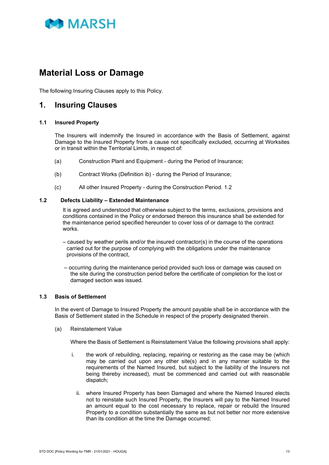

# <span id="page-16-0"></span>**Material Loss or Damage**

The following Insuring Clauses apply to this Policy.

### <span id="page-16-1"></span>**1. Insuring Clauses**

#### <span id="page-16-2"></span>**1.1 Insured Property**

The Insurers will indemnify the Insured in accordance with the Basis of Settlement, against Damage to the Insured Property from a cause not specifically excluded, occurring at Worksites or in transit within the Territorial Limits, in respect of:

- (a) Construction Plant and Equipment during the Period of Insurance;
- (b) Contract Works (Definition ib) during the Period of Insurance;
- (c) All other Insured Property during the Construction Period. 1.2

#### <span id="page-16-3"></span>**1.2 Defects Liability – Extended Maintenance**

It is agreed and understood that otherwise subject to the terms, exclusions, provisions and conditions contained in the Policy or endorsed thereon this insurance shall be extended for the maintenance period specified hereunder to cover loss of or damage to the contract works.

- $-$  caused by weather perils and/or the insured contractor(s) in the course of the operations carried out for the purpose of complying with the obligations under the maintenance provisions of the contract,
- occurring during the maintenance period provided such loss or damage was caused on the site during the construction period before the certificate of completion for the lost or damaged section was issued.

#### <span id="page-16-4"></span>**1.3 Basis of Settlement**

In the event of Damage to Insured Property the amount payable shall be in accordance with the Basis of Settlement stated in the Schedule in respect of the property designated therein.

(a) Reinstatement Value

Where the Basis of Settlement is Reinstatement Value the following provisions shall apply:

- i. the work of rebuilding, replacing, repairing or restoring as the case may be (which may be carried out upon any other site(s) and in any manner suitable to the requirements of the Named Insured, but subject to the liability of the Insurers not being thereby increased), must be commenced and carried out with reasonable dispatch;
	- ii. where Insured Property has been Damaged and where the Named Insured elects not to reinstate such Insured Property, the Insurers will pay to the Named Insured an amount equal to the cost necessary to replace, repair or rebuild the Insured Property to a condition substantially the same as but not better nor more extensive than its condition at the time the Damage occurred;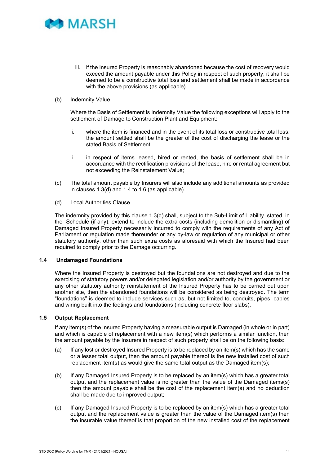

- iii. if the Insured Property is reasonably abandoned because the cost of recovery would exceed the amount payable under this Policy in respect of such property, it shall be deemed to be a constructive total loss and settlement shall be made in accordance with the above provisions (as applicable).
- (b) Indemnity Value

Where the Basis of Settlement is Indemnity Value the following exceptions will apply to the settlement of Damage to Construction Plant and Equipment:

- i. where the item is financed and in the event of its total loss or constructive total loss, the amount settled shall be the greater of the cost of discharging the lease or the stated Basis of Settlement;
- ii. in respect of items leased, hired or rented, the basis of settlement shall be in accordance with the rectification provisions of the lease, hire or rental agreement but not exceeding the Reinstatement Value;
- (c) The total amount payable by Insurers will also include any additional amounts as provided in clauses 1.3(d) and 1.4 to 1.6 (as applicable).
- (d) Local Authorities Clause

The indemnity provided by this clause 1.3(d) shall, subject to the Sub-Limit of Liability stated in the Schedule (if any), extend to include the extra costs (including demolition or dismantling) of Damaged Insured Property necessarily incurred to comply with the requirements of any Act of Parliament or regulation made thereunder or any by-law or regulation of any municipal or other statutory authority, other than such extra costs as aforesaid with which the Insured had been required to comply prior to the Damage occurring.

#### <span id="page-17-0"></span>**1.4 Undamaged Foundations**

Where the Insured Property is destroyed but the foundations are not destroyed and due to the exercising of statutory powers and/or delegated legislation and/or authority by the government or any other statutory authority reinstatement of the Insured Property has to be carried out upon another site, then the abandoned foundations will be considered as being destroyed. The term "foundations" is deemed to include services such as, but not limited to, conduits, pipes, cables and wiring built into the footings and foundations (including concrete floor slabs).

#### <span id="page-17-1"></span>**1.5 Output Replacement**

If any item(s) of the Insured Property having a measurable output is Damaged (in whole or in part) and which is capable of replacement with a new item(s) which performs a similar function, then the amount payable by the Insurers in respect of such property shall be on the following basis:

- (a) If any lost or destroyed Insured Property is to be replaced by an item(s) which has the same or a lesser total output, then the amount payable thereof is the new installed cost of such replacement item(s) as would give the same total output as the Damaged item(s);
- (b) If any Damaged Insured Property is to be replaced by an item(s) which has a greater total output and the replacement value is no greater than the value of the Damaged items(s) then the amount payable shall be the cost of the replacement item(s) and no deduction shall be made due to improved output;
- (c) If any Damaged Insured Property is to be replaced by an item(s) which has a greater total output and the replacement value is greater than the value of the Damaged item(s) then the insurable value thereof is that proportion of the new installed cost of the replacement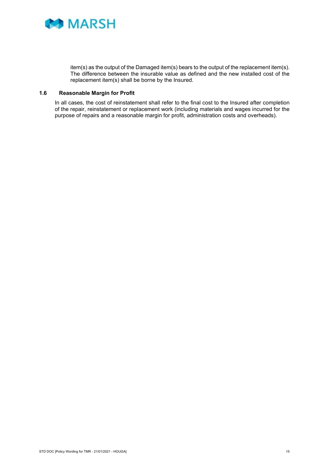

item(s) as the output of the Damaged item(s) bears to the output of the replacement item(s). The difference between the insurable value as defined and the new installed cost of the replacement item(s) shall be borne by the Insured.

#### <span id="page-18-0"></span>**1.6 Reasonable Margin for Profit**

In all cases, the cost of reinstatement shall refer to the final cost to the Insured after completion of the repair, reinstatement or replacement work (including materials and wages incurred for the purpose of repairs and a reasonable margin for profit, administration costs and overheads).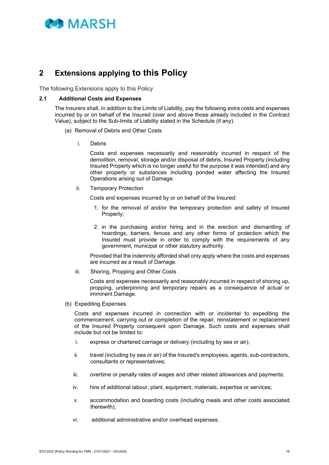

### <span id="page-19-0"></span>**2 Extensions applying to this Policy**

The following Extensions apply to this Policy

#### <span id="page-19-1"></span>**2.1 Additional Costs and Expenses**

The Insurers shall, in addition to the Limits of Liability, pay the following extra costs and expenses incurred by or on behalf of the Insured (over and above those already included in the Contract Value), subject to the Sub-limits of Liability stated in the Schedule (if any).

- (a) Removal of Debris and Other Costs
	- i. Debris

Costs and expenses necessarily and reasonably incurred in respect of the demolition, removal, storage and/or disposal of debris, Insured Property (including Insured Property which is no longer useful for the purpose it was intended) and any other property or substances including ponded water affecting the Insured Operations arising out of Damage.

ii. Temporary Protection

Costs and expenses incurred by or on behalf of the Insured:

- 1. for the removal of and/or the temporary protection and safety of Insured Property;
- 2. in the purchasing and/or hiring and in the erection and dismantling of hoardings, barriers, fences and any other forms of protection which the Insured must provide in order to comply with the requirements of any government, municipal or other statutory authority.

Provided that the indemnity afforded shall only apply where the costs and expenses are incurred as a result of Damage.

iii. Shoring, Propping and Other Costs

Costs and expenses necessarily and reasonably incurred in respect of shoring up, propping, underpinning and temporary repairs as a consequence of actual or imminent Damage.

(b) Expediting Expenses

Costs and expenses incurred in connection with or incidental to expediting the commencement, carrying out or completion of the repair, reinstatement or replacement of the Insured Property consequent upon Damage. Such costs and expenses shall include but not be limited to:

- i. express or chartered carriage or delivery (including by sea or air);
- ii. travel (including by sea or air) of the Insured's employees, agents, sub-contractors, consultants or representatives;
- iii. overtime or penalty rates of wages and other related allowances and payments;
- iv. hire of additional labour, plant, equipment, materials, expertise or services;
- v. accommodation and boarding costs (including meals and other costs associated therewith);
- vi. additional administrative and/or overhead expenses.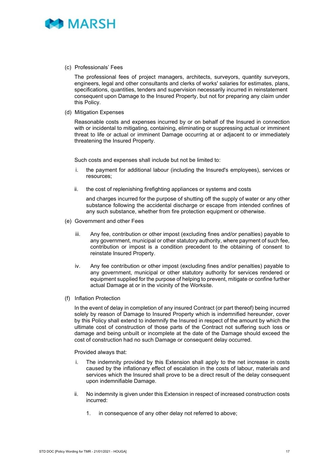

(c) Professionals' Fees

The professional fees of project managers, architects, surveyors, quantity surveyors, engineers, legal and other consultants and clerks of works' salaries for estimates, plans, specifications, quantities, tenders and supervision necessarily incurred in reinstatement consequent upon Damage to the Insured Property, but not for preparing any claim under this Policy.

(d) Mitigation Expenses

Reasonable costs and expenses incurred by or on behalf of the Insured in connection with or incidental to mitigating, containing, eliminating or suppressing actual or imminent threat to life or actual or imminent Damage occurring at or adjacent to or immediately threatening the Insured Property.

Such costs and expenses shall include but not be limited to:

- i. the payment for additional labour (including the Insured's employees), services or resources;
- ii. the cost of replenishing firefighting appliances or systems and costs

 and charges incurred for the purpose of shutting off the supply of water or any other substance following the accidental discharge or escape from intended confines of any such substance, whether from fire protection equipment or otherwise.

- (e) Government and other Fees
	- iii. Any fee, contribution or other impost (excluding fines and/or penalties) payable to any government, municipal or other statutory authority, where payment of such fee, contribution or impost is a condition precedent to the obtaining of consent to reinstate Insured Property.
	- iv. Any fee contribution or other impost (excluding fines and/or penalties) payable to any government, municipal or other statutory authority for services rendered or equipment supplied for the purpose of helping to prevent, mitigate or confine further actual Damage at or in the vicinity of the Worksite.
- (f) Inflation Protection

In the event of delay in completion of any insured Contract (or part thereof) being incurred solely by reason of Damage to Insured Property which is indemnified hereunder, cover by this Policy shall extend to indemnify the Insured in respect of the amount by which the ultimate cost of construction of those parts of the Contract not suffering such loss or damage and being unbuilt or incomplete at the date of the Damage should exceed the cost of construction had no such Damage or consequent delay occurred.

Provided always that:

- i. The indemnity provided by this Extension shall apply to the net increase in costs caused by the inflationary effect of escalation in the costs of labour, materials and services which the Insured shall prove to be a direct result of the delay consequent upon indemnifiable Damage.
- ii. No indemnity is given under this Extension in respect of increased construction costs incurred:
	- 1. in consequence of any other delay not referred to above;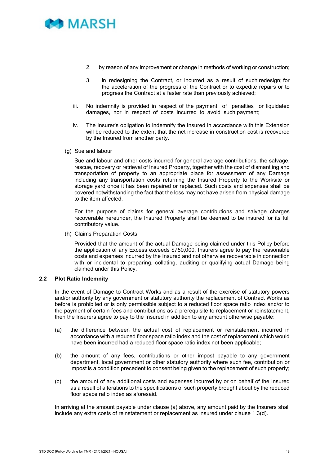

- 2. by reason of any improvement or change in methods of working or construction;
- 3. in redesigning the Contract, or incurred as a result of such redesign; for the acceleration of the progress of the Contract or to expedite repairs or to progress the Contract at a faster rate than previously achieved;
- iii. No indemnity is provided in respect of the payment of penalties or liquidated damages, nor in respect of costs incurred to avoid such payment;
- iv. The Insurer's obligation to indemnify the Insured in accordance with this Extension will be reduced to the extent that the net increase in construction cost is recovered by the Insured from another party.
- (g) Sue and labour

Sue and labour and other costs incurred for general average contributions, the salvage, rescue, recovery or retrieval of Insured Property, together with the cost of dismantling and transportation of property to an appropriate place for assessment of any Damage including any transportation costs returning the Insured Property to the Worksite or storage yard once it has been repaired or replaced. Such costs and expenses shall be covered notwithstanding the fact that the loss may not have arisen from physical damage to the item affected.

For the purpose of claims for general average contributions and salvage charges recoverable hereunder, the Insured Property shall be deemed to be insured for its full contributory value.

(h) Claims Preparation Costs

Provided that the amount of the actual Damage being claimed under this Policy before the application of any Excess exceeds \$750,000, Insurers agree to pay the reasonable costs and expenses incurred by the Insured and not otherwise recoverable in connection with or incidental to preparing, collating, auditing or qualifying actual Damage being claimed under this Policy.

#### <span id="page-21-0"></span>**2.2 Plot Ratio Indemnity**

In the event of Damage to Contract Works and as a result of the exercise of statutory powers and/or authority by any government or statutory authority the replacement of Contract Works as before is prohibited or is only permissible subject to a reduced floor space ratio index and/or to the payment of certain fees and contributions as a prerequisite to replacement or reinstatement, then the Insurers agree to pay to the Insured in addition to any amount otherwise payable:

- (a) the difference between the actual cost of replacement or reinstatement incurred in accordance with a reduced floor space ratio index and the cost of replacement which would have been incurred had a reduced floor space ratio index not been applicable;
- (b) the amount of any fees, contributions or other impost payable to any government department, local government or other statutory authority where such fee, contribution or impost is a condition precedent to consent being given to the replacement of such property;
- (c) the amount of any additional costs and expenses incurred by or on behalf of the Insured as a result of alterations to the specifications of such property brought about by the reduced floor space ratio index as aforesaid.

In arriving at the amount payable under clause (a) above, any amount paid by the Insurers shall include any extra costs of reinstatement or replacement as insured under clause 1.3(d).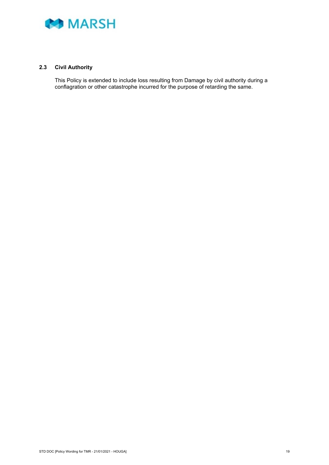

#### <span id="page-22-0"></span>**2.3 Civil Authority**

This Policy is extended to include loss resulting from Damage by civil authority during a conflagration or other catastrophe incurred for the purpose of retarding the same.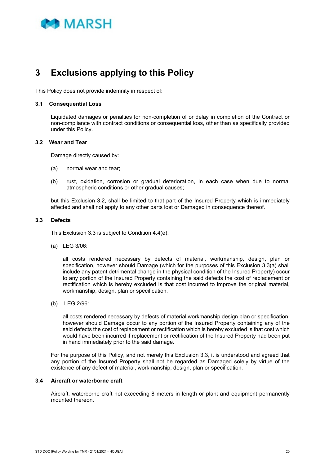

# <span id="page-23-0"></span>**3 Exclusions applying to this Policy**

This Policy does not provide indemnity in respect of:

#### <span id="page-23-1"></span>**3.1 Consequential Loss**

Liquidated damages or penalties for non-completion of or delay in completion of the Contract or non-compliance with contract conditions or consequential loss, other than as specifically provided under this Policy.

#### <span id="page-23-2"></span>**3.2 Wear and Tear**

Damage directly caused by:

- (a) normal wear and tear;
- (b) rust, oxidation, corrosion or gradual deterioration, in each case when due to normal atmospheric conditions or other gradual causes;

but this Exclusion 3.2, shall be limited to that part of the Insured Property which is immediately affected and shall not apply to any other parts lost or Damaged in consequence thereof.

#### <span id="page-23-3"></span>**3.3 Defects**

This Exclusion 3.3 is subject to Condition 4.4(e).

(a) LEG 3/06:

all costs rendered necessary by defects of material, workmanship, design, plan or specification, however should Damage (which for the purposes of this Exclusion 3.3(a) shall include any patent detrimental change in the physical condition of the Insured Property) occur to any portion of the Insured Property containing the said defects the cost of replacement or rectification which is hereby excluded is that cost incurred to improve the original material, workmanship, design, plan or specification.

(b) LEG 2/96:

all costs rendered necessary by defects of material workmanship design plan or specification, however should Damage occur to any portion of the Insured Property containing any of the said defects the cost of replacement or rectification which is hereby excluded is that cost which would have been incurred if replacement or rectification of the Insured Property had been put in hand immediately prior to the said damage.

For the purpose of this Policy, and not merely this Exclusion 3.3, it is understood and agreed that any portion of the Insured Property shall not be regarded as Damaged solely by virtue of the existence of any defect of material, workmanship, design, plan or specification.

#### <span id="page-23-4"></span>**3.4 Aircraft or waterborne craft**

Aircraft, waterborne craft not exceeding 8 meters in length or plant and equipment permanently mounted thereon.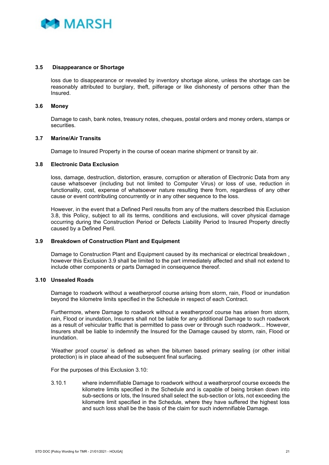

#### **3.5 Disappearance or Shortage**

<span id="page-24-0"></span>loss due to disappearance or revealed by inventory shortage alone, unless the shortage can be reasonably attributed to burglary, theft, pilferage or like dishonesty of persons other than the Insured.

#### <span id="page-24-1"></span>**3.6 Money**

Damage to cash, bank notes, treasury notes, cheques, postal orders and money orders, stamps or securities.

#### <span id="page-24-2"></span>**3.7 Marine/Air Transits**

Damage to Insured Property in the course of ocean marine shipment or transit by air.

#### <span id="page-24-3"></span>**3.8 Electronic Data Exclusion**

loss, damage, destruction, distortion, erasure, corruption or alteration of Electronic Data from any cause whatsoever (including but not limited to Computer Virus) or loss of use, reduction in functionality, cost, expense of whatsoever nature resulting there from, regardless of any other cause or event contributing concurrently or in any other sequence to the loss.

However, in the event that a Defined Peril results from any of the matters described this Exclusion 3.8, this Policy, subject to all its terms, conditions and exclusions, will cover physical damage occurring during the Construction Period or Defects Liability Period to Insured Property directly caused by a Defined Peril.

#### <span id="page-24-4"></span>**3.9 Breakdown of Construction Plant and Equipment**

Damage to Construction Plant and Equipment caused by its mechanical or electrical breakdown , however this Exclusion 3.9 shall be limited to the part immediately affected and shall not extend to include other components or parts Damaged in consequence thereof.

#### <span id="page-24-5"></span>**3.10 Unsealed Roads**

Damage to roadwork without a weatherproof course arising from storm, rain, Flood or inundation beyond the kilometre limits specified in the Schedule in respect of each Contract.

Furthermore, where Damage to roadwork without a weatherproof course has arisen from storm, rain, Flood or inundation, Insurers shall not be liable for any additional Damage to such roadwork as a result of vehicular traffic that is permitted to pass over or through such roadwork... However, Insurers shall be liable to indemnify the Insured for the Damage caused by storm, rain, Flood or inundation.

'Weather proof course' is defined as when the bitumen based primary sealing (or other initial protection) is in place ahead of the subsequent final surfacing.

For the purposes of this Exclusion 3.10:

3.10.1 where indemnifiable Damage to roadwork without a weatherproof course exceeds the kilometre limits specified in the Schedule and is capable of being broken down into sub-sections or lots, the Insured shall select the sub-section or lots, not exceeding the kilometre limit specified in the Schedule, where they have suffered the highest loss and such loss shall be the basis of the claim for such indemnifiable Damage.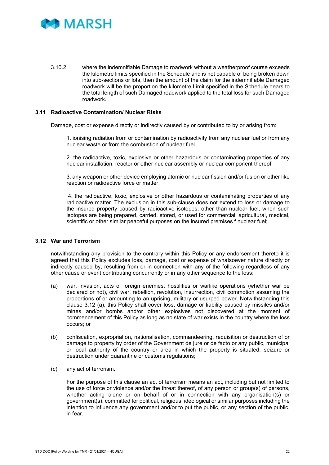

3.10.2 where the indemnifiable Damage to roadwork without a weatherproof course exceeds the kilometre limits specified in the Schedule and is not capable of being broken down into sub-sections or lots, then the amount of the claim for the indemnifiable Damaged roadwork will be the proportion the kilometre Limit specified in the Schedule bears to the total length of such Damaged roadwork applied to the total loss for such Damaged roadwork.

#### <span id="page-25-0"></span>**3.11 Radioactive Contamination/ Nuclear Risks**

Damage, cost or expense directly or indirectly caused by or contributed to by or arising from:

1. ionising radiation from or contamination by radioactivity from any nuclear fuel or from any nuclear waste or from the combustion of nuclear fuel

2. the radioactive, toxic, explosive or other hazardous or contaminating properties of any nuclear installation, reactor or other nuclear assembly or nuclear component thereof

3. any weapon or other device employing atomic or nuclear fission and/or fusion or other like reaction or radioactive force or matter.

4. the radioactive, toxic, explosive or other hazardous or contaminating properties of any radioactive matter. The exclusion in this sub-clause does not extend to loss or damage to the insured property caused by radioactive isotopes, other than nuclear fuel, when such isotopes are being prepared, carried, stored, or used for commercial, agricultural, medical, scientific or other similar peaceful purposes on the insured premises f nuclear fuel;

#### <span id="page-25-1"></span>**3.12 War and Terrorism**

notwithstanding any provision to the contrary within this Policy or any endorsement thereto it is agreed that this Policy excludes loss, damage, cost or expense of whatsoever nature directly or indirectly caused by, resulting from or in connection with any of the following regardless of any other cause or event contributing concurrently or in any other sequence to the loss:

- (a) war, invasion, acts of foreign enemies, hostilities or warlike operations (whether war be declared or not), civil war, rebellion, revolution, insurrection, civil commotion assuming the proportions of or amounting to an uprising, military or usurped power. Notwithstanding this clause 3.12 (a), this Policy shall cover loss, damage or liability caused by missiles and/or mines and/or bombs and/or other explosives not discovered at the moment of commencement of this Policy as long as no state of war exists in the country where the loss occurs; or
- (b) confiscation, expropriation, nationalisation, commandeering, requisition or destruction of or damage to property by order of the Government de jure or de facto or any public, municipal or local authority of the country or area in which the property is situated; seizure or destruction under quarantine or customs regulations;
- (c) any act of terrorism.

For the purpose of this clause an act of terrorism means an act, including but not limited to the use of force or violence and/or the threat thereof, of any person or group(s) of persons, whether acting alone or on behalf of or in connection with any organisation(s) or government(s), committed for political, religious, ideological or similar purposes including the intention to influence any government and/or to put the public, or any section of the public, in fear.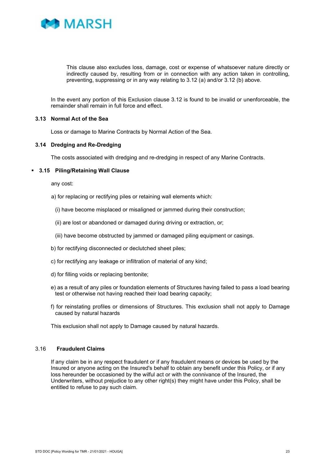

This clause also excludes loss, damage, cost or expense of whatsoever nature directly or indirectly caused by, resulting from or in connection with any action taken in controlling, preventing, suppressing or in any way relating to 3.12 (a) and/or 3.12 (b) above.

In the event any portion of this Exclusion clause 3.12 is found to be invalid or unenforceable, the remainder shall remain in full force and effect.

#### <span id="page-26-0"></span>**3.13 Normal Act of the Sea**

Loss or damage to Marine Contracts by Normal Action of the Sea.

#### <span id="page-26-1"></span>**3.14 Dredging and Re-Dredging**

The costs associated with dredging and re-dredging in respect of any Marine Contracts.

#### **3.15 Piling/Retaining Wall Clause**

any cost:

- a) for replacing or rectifying piles or retaining wall elements which:
	- (i) have become misplaced or misaligned or jammed during their construction;
	- (ii) are lost or abandoned or damaged during driving or extraction, or;
	- (iii) have become obstructed by jammed or damaged piling equipment or casings.
- b) for rectifying disconnected or declutched sheet piles;
- c) for rectifying any leakage or infiltration of material of any kind;
- d) for filling voids or replacing bentonite;
- e) as a result of any piles or foundation elements of Structures having failed to pass a load bearing test or otherwise not having reached their load bearing capacity;
- f) for reinstating profiles or dimensions of Structures. This exclusion shall not apply to Damage caused by natural hazards

This exclusion shall not apply to Damage caused by natural hazards.

#### 3.16 **Fraudulent Claims**

If any claim be in any respect fraudulent or if any fraudulent means or devices be used by the Insured or anyone acting on the Insured's behalf to obtain any benefit under this Policy, or if any loss hereunder be occasioned by the wilful act or with the connivance of the Insured, the Underwriters, without prejudice to any other right(s) they might have under this Policy, shall be entitled to refuse to pay such claim.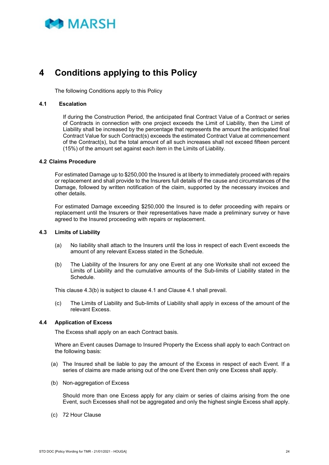

# <span id="page-27-0"></span>**4 Conditions applying to this Policy**

The following Conditions apply to this Policy

#### **4.1 Escalation**

If during the Construction Period, the anticipated final Contract Value of a Contract or series of Contracts in connection with one project exceeds the Limit of Liability, then the Limit of Liability shall be increased by the percentage that represents the amount the anticipated final Contract Value for such Contract(s) exceeds the estimated Contract Value at commencement of the Contract(s), but the total amount of all such increases shall not exceed fifteen percent (15%) of the amount set against each item in the Limits of Liability.

#### <span id="page-27-1"></span>**4.2 Claims Procedure**

For estimated Damage up to \$250,000 the Insured is at liberty to immediately proceed with repairs or replacement and shall provide to the Insurers full details of the cause and circumstances of the Damage, followed by written notification of the claim, supported by the necessary invoices and other details.

For estimated Damage exceeding \$250,000 the Insured is to defer proceeding with repairs or replacement until the Insurers or their representatives have made a preliminary survey or have agreed to the Insured proceeding with repairs or replacement.

#### <span id="page-27-2"></span>**4.3 Limits of Liability**

- (a) No liability shall attach to the Insurers until the loss in respect of each Event exceeds the amount of any relevant Excess stated in the Schedule.
- (b) The Liability of the Insurers for any one Event at any one Worksite shall not exceed the Limits of Liability and the cumulative amounts of the Sub-limits of Liability stated in the Schedule.

This clause 4.3(b) is subject to clause 4.1 and Clause 4.1 shall prevail.

(c) The Limits of Liability and Sub-limits of Liability shall apply in excess of the amount of the relevant Excess.

#### <span id="page-27-3"></span>**4.4 Application of Excess**

The Excess shall apply on an each Contract basis.

Where an Event causes Damage to Insured Property the Excess shall apply to each Contract on the following basis:

- (a) The Insured shall be liable to pay the amount of the Excess in respect of each Event. If a series of claims are made arising out of the one Event then only one Excess shall apply.
- (b) Non-aggregation of Excess

Should more than one Excess apply for any claim or series of claims arising from the one Event, such Excesses shall not be aggregated and only the highest single Excess shall apply.

(c) 72 Hour Clause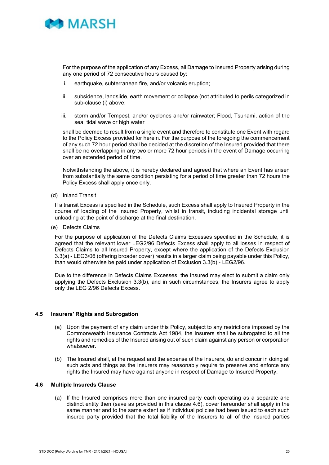

For the purpose of the application of any Excess, all Damage to Insured Property arising during any one period of 72 consecutive hours caused by:

- i. earthquake, subterranean fire, and/or volcanic eruption;
- ii. subsidence, landslide, earth movement or collapse (not attributed to perils categorized in sub-clause (i) above;
- iii. storm and/or Tempest, and/or cyclones and/or rainwater; Flood, Tsunami, action of the sea, tidal wave or high water

shall be deemed to result from a single event and therefore to constitute one Event with regard to the Policy Excess provided for herein. For the purpose of the foregoing the commencement of any such 72 hour period shall be decided at the discretion of the Insured provided that there shall be no overlapping in any two or more 72 hour periods in the event of Damage occurring over an extended period of time.

Notwithstanding the above, it is hereby declared and agreed that where an Event has arisen from substantially the same condition persisting for a period of time greater than 72 hours the Policy Excess shall apply once only.

(d) Inland Transit

If a transit Excess is specified in the Schedule, such Excess shall apply to Insured Property in the course of loading of the Insured Property, whilst in transit, including incidental storage until unloading at the point of discharge at the final destination.

(e) Defects Claims

For the purpose of application of the Defects Claims Excesses specified in the Schedule, it is agreed that the relevant lower LEG2/96 Defects Excess shall apply to all losses in respect of Defects Claims to all Insured Property, except where the application of the Defects Exclusion 3.3(a) - LEG3/06 (offering broader cover) results in a larger claim being payable under this Policy, than would otherwise be paid under application of Exclusion 3.3(b) - LEG2/96.

Due to the difference in Defects Claims Excesses, the Insured may elect to submit a claim only applying the Defects Exclusion 3.3(b), and in such circumstances, the Insurers agree to apply only the LEG 2/96 Defects Excess.

#### <span id="page-28-0"></span>**4.5 Insurers' Rights and Subrogation**

- (a) Upon the payment of any claim under this Policy, subject to any restrictions imposed by the Commonwealth Insurance Contracts Act 1984, the Insurers shall be subrogated to all the rights and remedies of the Insured arising out of such claim against any person or corporation whatsoever.
- (b) The Insured shall, at the request and the expense of the Insurers, do and concur in doing all such acts and things as the Insurers may reasonably require to preserve and enforce any rights the Insured may have against anyone in respect of Damage to Insured Property.

#### <span id="page-28-1"></span>**4.6 Multiple Insureds Clause**

(a) If the Insured comprises more than one insured party each operating as a separate and distinct entity then (save as provided in this clause 4.6), cover hereunder shall apply in the same manner and to the same extent as if individual policies had been issued to each such insured party provided that the total liability of the Insurers to all of the insured parties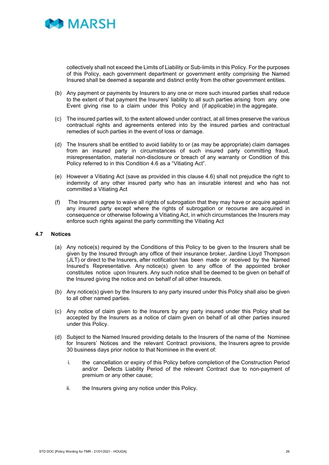

collectively shall not exceed the Limits of Liability or Sub-limits in this Policy. For the purposes of this Policy, each government department or government entity comprising the Named Insured shall be deemed a separate and distinct entity from the other government entities.

- (b) Any payment or payments by Insurers to any one or more such insured parties shall reduce to the extent of that payment the Insurers' liability to all such parties arising from any one Event giving rise to a claim under this Policy and (if applicable) in the aggregate.
- (c) The insured parties will, to the extent allowed under contract, at all times preserve the various contractual rights and agreements entered into by the insured parties and contractual remedies of such parties in the event of loss or damage.
- (d) The Insurers shall be entitled to avoid liability to or (as may be appropriate) claim damages from an insured party in circumstances of such insured party committing fraud, misrepresentation, material non-disclosure or breach of any warranty or Condition of this Policy referred to in this Condition 4.6 as a "Vitiating Act".
- (e) However a Vitiating Act (save as provided in this clause 4.6) shall not prejudice the right to indemnity of any other insured party who has an insurable interest and who has not committed a Vitiating Act
- (f) The Insurers agree to waive all rights of subrogation that they may have or acquire against any insured party except where the rights of subrogation or recourse are acquired in consequence or otherwise following a Vitiating Act, in which circumstances the Insurers may enforce such rights against the party committing the Vitiating Act

#### <span id="page-29-0"></span>**4.7 Notices**

- (a) Any notice(s) required by the Conditions of this Policy to be given to the Insurers shall be given by the Insured through any office of their insurance broker, Jardine Lloyd Thompson (JLT) or direct to the Insurers, after notification has been made or received by the Named Insured's Representative. Any notice(s) given to any office of the appointed broker constitutes notice upon Insurers. Any such notice shall be deemed to be given on behalf of the Insured giving the notice and on behalf of all other Insureds.
- (b) Any notice(s) given by the Insurers to any party insured under this Policy shall also be given to all other named parties.
- (c) Any notice of claim given to the Insurers by any party insured under this Policy shall be accepted by the Insurers as a notice of claim given on behalf of all other parties insured under this Policy.
- (d) Subject to the Named Insured providing details to the Insurers of the name of the Nominee for Insurers' Notices and the relevant Contract provisions, the Insurers agree to provide 30 business days prior notice to that Nominee in the event of:
	- i. the cancellation or expiry of this Policy before completion of the Construction Period and/or Defects Liability Period of the relevant Contract due to non-payment of premium or any other cause;
	- ii. the Insurers giving any notice under this Policy.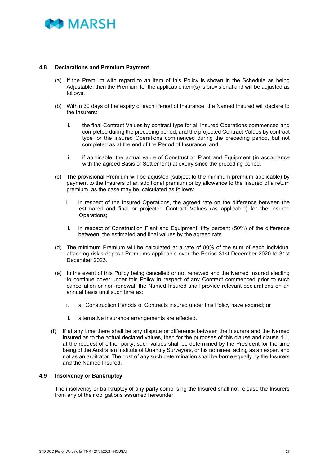

#### <span id="page-30-0"></span>**4.8 Declarations and Premium Payment**

- (a) If the Premium with regard to an item of this Policy is shown in the Schedule as being Adjustable, then the Premium for the applicable item(s) is provisional and will be adjusted as follows.
- (b) Within 30 days of the expiry of each Period of Insurance, the Named Insured will declare to the Insurers:
	- i. the final Contract Values by contract type for all Insured Operations commenced and completed during the preceding period, and the projected Contract Values by contract type for the Insured Operations commenced during the preceding period, but not completed as at the end of the Period of Insurance; and
	- ii. if applicable, the actual value of Construction Plant and Equipment (in accordance with the agreed Basis of Settlement) at expiry since the preceding period.
- (c) The provisional Premium will be adjusted (subject to the minimum premium applicable) by payment to the Insurers of an additional premium or by allowance to the Insured of a return premium, as the case may be, calculated as follows:
	- i. in respect of the Insured Operations, the agreed rate on the difference between the estimated and final or projected Contract Values (as applicable) for the Insured Operations;
	- ii. in respect of Construction Plant and Equipment, fifty percent (50%) of the difference between, the estimated and final values by the agreed rate.
- (d) The minimum Premium will be calculated at a rate of 80% of the sum of each individual attaching risk's deposit Premiums applicable over the Period 31st December 2020 to 31st December 2023.
- (e) In the event of this Policy being cancelled or not renewed and the Named Insured electing to continue cover under this Policy in respect of any Contract commenced prior to such cancellation or non-renewal, the Named Insured shall provide relevant declarations on an annual basis until such time as:
	- i. all Construction Periods of Contracts insured under this Policy have expired; or
	- ii. alternative insurance arrangements are effected.
- (f) If at any time there shall be any dispute or difference between the Insurers and the Named Insured as to the actual declared values, then for the purposes of this clause and clause 4.1, at the request of either party, such values shall be determined by the President for the time being of the Australian Institute of Quantity Surveyors, or his nominee, acting as an expert and not as an arbitrator. The cost of any such determination shall be borne equally by the Insurers and the Named Insured.

#### <span id="page-30-1"></span>**4.9 Insolvency or Bankruptcy**

The insolvency or bankruptcy of any party comprising the Insured shall not release the Insurers from any of their obligations assumed hereunder.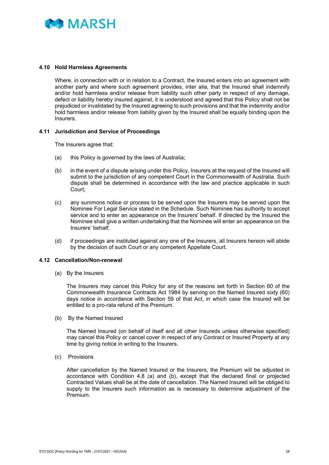

#### <span id="page-31-0"></span>**4.10 Hold Harmless Agreements**

Where, in connection with or in relation to a Contract, the Insured enters into an agreement with another party and where such agreement provides, inter alia, that the Insured shall indemnify and/or hold harmless and/or release from liability such other party in respect of any damage, defect or liability hereby insured against, it is understood and agreed that this Policy shall not be prejudiced or invalidated by the Insured agreeing to such provisions and that the indemnity and/or hold harmless and/or release from liability given by the Insured shall be equally binding upon the Insurers.

#### <span id="page-31-1"></span>**4.11 Jurisdiction and Service of Proceedings**

The Insurers agree that:

- (a) this Policy is governed by the laws of Australia;
- (b) in the event of a dispute arising under this Policy, Insurers at the request of the Insured will submit to the jurisdiction of any competent Court in the Commonwealth of Australia. Such dispute shall be determined in accordance with the law and practice applicable in such Court;
- (c) any summons notice or process to be served upon the Insurers may be served upon the Nominee For Legal Service stated in the Schedule. Such Nominee has authority to accept service and to enter an appearance on the Insurers' behalf. If directed by the Insured the Nominee shall give a written undertaking that the Nominee will enter an appearance on the Insurers' behalf;
- (d) if proceedings are instituted against any one of the Insurers, all Insurers hereon will abide by the decision of such Court or any competent Appellate Court.

#### <span id="page-31-2"></span>**4.12 Cancellation/Non-renewal**

(a) By the Insurers

The Insurers may cancel this Policy for any of the reasons set forth in Section 60 of the Commonwealth Insurance Contracts Act 1984 by serving on the Named Insured sixty (60) days notice in accordance with Section 59 of that Act, in which case the Insured will be entitled to a pro-rata refund of the Premium.

(b) By the Named Insured

The Named Insured (on behalf of itself and all other Insureds unless otherwise specified) may cancel this Policy or cancel cover in respect of any Contract or Insured Property at any time by giving notice in writing to the Insurers.

(c) Provisions

After cancellation by the Named Insured or the Insurers, the Premium will be adjusted in accordance with Condition 4.8 (a) and (b), except that the declared final or projected Contracted Values shall be at the date of cancellation. The Named Insured will be obliged to supply to the Insurers such information as is necessary to determine adjustment of the Premium.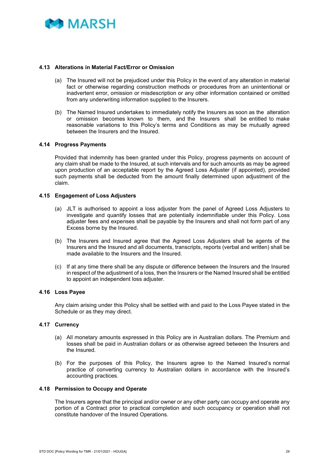

#### <span id="page-32-0"></span>**4.13 Alterations in Material Fact/Error or Omission**

- (a) The Insured will not be prejudiced under this Policy in the event of any alteration in material fact or otherwise regarding construction methods or procedures from an unintentional or inadvertent error, omission or misdescription or any other information contained or omitted from any underwriting information supplied to the Insurers.
- (b) The Named Insured undertakes to immediately notify the Insurers as soon as the alteration or omission becomes known to them, and the Insurers shall be entitled to make reasonable variations to this Policy's terms and Conditions as may be mutually agreed between the Insurers and the Insured.

#### <span id="page-32-1"></span>**4.14 Progress Payments**

Provided that indemnity has been granted under this Policy, progress payments on account of any claim shall be made to the Insured, at such intervals and for such amounts as may be agreed upon production of an acceptable report by the Agreed Loss Adjuster (if appointed), provided such payments shall be deducted from the amount finally determined upon adjustment of the claim.

#### <span id="page-32-2"></span>**4.15 Engagement of Loss Adjusters**

- (a) JLT is authorised to appoint a loss adjuster from the panel of Agreed Loss Adjusters to investigate and quantify losses that are potentially indemnifiable under this Policy. Loss adjuster fees and expenses shall be payable by the Insurers and shall not form part of any Excess borne by the Insured.
- (b) The Insurers and Insured agree that the Agreed Loss Adjusters shall be agents of the Insurers and the Insured and all documents, transcripts, reports (verbal and written) shall be made available to the Insurers and the Insured.
- (c) If at any time there shall be any dispute or difference between the Insurers and the Insured in respect of the adjustment of a loss, then the Insurers or the Named Insured shall be entitled to appoint an independent loss adjuster.

#### <span id="page-32-3"></span>**4.16 Loss Payee**

Any claim arising under this Policy shall be settled with and paid to the Loss Payee stated in the Schedule or as they may direct.

#### <span id="page-32-4"></span>**4.17 Currency**

- (a) All monetary amounts expressed in this Policy are in Australian dollars. The Premium and losses shall be paid in Australian dollars or as otherwise agreed between the Insurers and the Insured.
- (b) For the purposes of this Policy, the Insurers agree to the Named Insured's normal practice of converting currency to Australian dollars in accordance with the Insured's accounting practices.

#### <span id="page-32-5"></span>**4.18 Permission to Occupy and Operate**

The Insurers agree that the principal and/or owner or any other party can occupy and operate any portion of a Contract prior to practical completion and such occupancy or operation shall not constitute handover of the Insured Operations.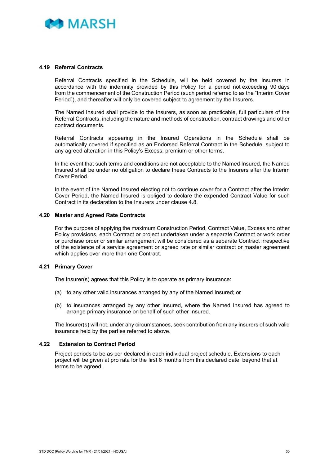

#### <span id="page-33-0"></span>**4.19 Referral Contracts**

Referral Contracts specified in the Schedule, will be held covered by the Insurers in accordance with the indemnity provided by this Policy for a period not exceeding 90 days from the commencement of the Construction Period (such period referred to as the "Interim Cover Period"), and thereafter will only be covered subject to agreement by the Insurers.

The Named Insured shall provide to the Insurers, as soon as practicable, full particulars of the Referral Contracts, including the nature and methods of construction, contract drawings and other contract documents.

Referral Contracts appearing in the Insured Operations in the Schedule shall be automatically covered if specified as an Endorsed Referral Contract in the Schedule, subject to any agreed alteration in this Policy's Excess, premium or other terms.

In the event that such terms and conditions are not acceptable to the Named Insured, the Named Insured shall be under no obligation to declare these Contracts to the Insurers after the Interim Cover Period.

In the event of the Named Insured electing not to continue cover for a Contract after the Interim Cover Period, the Named Insured is obliged to declare the expended Contract Value for such Contract in its declaration to the Insurers under clause 4.8.

#### <span id="page-33-1"></span>**4.20 Master and Agreed Rate Contracts**

For the purpose of applying the maximum Construction Period, Contract Value, Excess and other Policy provisions, each Contract or project undertaken under a separate Contract or work order or purchase order or similar arrangement will be considered as a separate Contract irrespective of the existence of a service agreement or agreed rate or similar contract or master agreement which applies over more than one Contract.

#### <span id="page-33-2"></span>**4.21 Primary Cover**

The Insurer(s) agrees that this Policy is to operate as primary insurance:

- (a) to any other valid insurances arranged by any of the Named Insured; or
- (b) to insurances arranged by any other Insured, where the Named Insured has agreed to arrange primary insurance on behalf of such other Insured.

The Insurer(s) will not, under any circumstances, seek contribution from any insurers of such valid insurance held by the parties referred to above.

#### <span id="page-33-3"></span>**4.22 Extension to Contract Period**

Project periods to be as per declared in each individual project schedule. Extensions to each project will be given at pro rata for the first 6 months from this declared date, beyond that at terms to be agreed.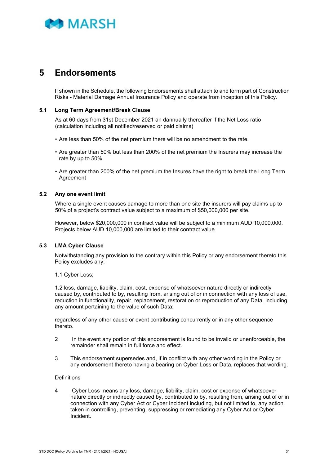

### <span id="page-34-0"></span>**5 Endorsements**

If shown in the Schedule, the following Endorsements shall attach to and form part of Construction Risks - Material Damage Annual Insurance Policy and operate from inception of this Policy.

#### <span id="page-34-1"></span>**5.1 Long Term Agreement/Break Clause**

As at 60 days from 31st December 2021 an dannually thereafter if the Net Loss ratio (calculation including all notified/reserved or paid claims)

- Are less than 50% of the net premium there will be no amendment to the rate.
- Are greater than 50% but less than 200% of the net premium the Insurers may increase the rate by up to 50%
- Are greater than 200% of the net premium the Insures have the right to break the Long Term Agreement

#### <span id="page-34-2"></span>**5.2 Any one event limit**

Where a single event causes damage to more than one site the insurers will pay claims up to 50% of a project's contract value subject to a maximum of \$50,000,000 per site.

However, below \$20,000,000 in contract value will be subject to a minimum AUD 10,000,000. Projects below AUD 10,000,000 are limited to their contract value

#### <span id="page-34-3"></span>**5.3 LMA Cyber Clause**

Notwithstanding any provision to the contrary within this Policy or any endorsement thereto this Policy excludes any:

1.1 Cyber Loss;

1.2 loss, damage, liability, claim, cost, expense of whatsoever nature directly or indirectly caused by, contributed to by, resulting from, arising out of or in connection with any loss of use, reduction in functionality, repair, replacement, restoration or reproduction of any Data, including any amount pertaining to the value of such Data;

regardless of any other cause or event contributing concurrently or in any other sequence thereto.

- 2 In the event any portion of this endorsement is found to be invalid or unenforceable, the remainder shall remain in full force and effect.
- 3 This endorsement supersedes and, if in conflict with any other wording in the Policy or any endorsement thereto having a bearing on Cyber Loss or Data, replaces that wording.

#### **Definitions**

4 Cyber Loss means any loss, damage, liability, claim, cost or expense of whatsoever nature directly or indirectly caused by, contributed to by, resulting from, arising out of or in connection with any Cyber Act or Cyber Incident including, but not limited to, any action taken in controlling, preventing, suppressing or remediating any Cyber Act or Cyber Incident.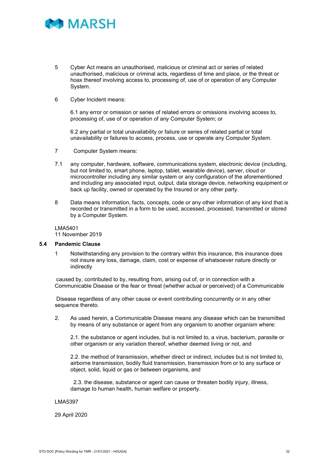

- 5 Cyber Act means an unauthorised, malicious or criminal act or series of related unauthorised, malicious or criminal acts, regardless of time and place, or the threat or hoax thereof involving access to, processing of, use of or operation of any Computer System.
- 6 Cyber Incident means:

6.1 any error or omission or series of related errors or omissions involving access to, processing of, use of or operation of any Computer System; or

6.2 any partial or total unavailability or failure or series of related partial or total unavailability or failures to access, process, use or operate any Computer System.

- 7 Computer System means:
- 7.1 any computer, hardware, software, communications system, electronic device (including, but not limited to, smart phone, laptop, tablet, wearable device), server, cloud or microcontroller including any similar system or any configuration of the aforementioned and including any associated input, output, data storage device, networking equipment or back up facility, owned or operated by the Insured or any other party.
- 8 Data means information, facts, concepts, code or any other information of any kind that is recorded or transmitted in a form to be used, accessed, processed, transmitted or stored by a Computer System.

LMA5401 11 November 2019

#### <span id="page-35-0"></span>**5.4 Pandemic Clause**

1 Notwithstanding any provision to the contrary within this insurance, this insurance does not insure any loss, damage, claim, cost or expense of whatsoever nature directly or indirectly

caused by, contributed to by, resulting from, arising out of, or in connection with a Communicable Disease or the fear or threat (whether actual or perceived) of a Communicable

Disease regardless of any other cause or event contributing concurrently or in any other sequence thereto.

2. As used herein, a Communicable Disease means any disease which can be transmitted by means of any substance or agent from any organism to another organism where:

2.1. the substance or agent includes, but is not limited to, a virus, bacterium, parasite or other organism or any variation thereof, whether deemed living or not, and

2.2. the method of transmission, whether direct or indirect, includes but is not limited to, airborne transmission, bodily fluid transmission, transmission from or to any surface or object, solid, liquid or gas or between organisms, and

 2.3. the disease, substance or agent can cause or threaten bodily injury, illness, damage to human health, human welfare or property.

#### LMA5397

29 April 2020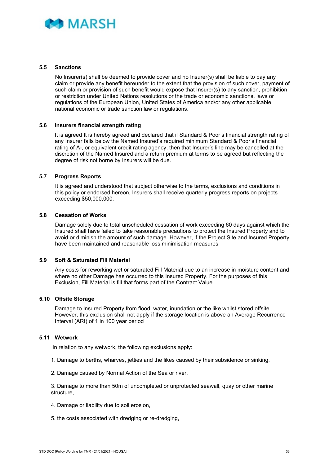

#### <span id="page-36-0"></span>**5.5 Sanctions**

No Insurer(s) shall be deemed to provide cover and no Insurer(s) shall be liable to pay any claim or provide any benefit hereunder to the extent that the provision of such cover, payment of such claim or provision of such benefit would expose that Insurer(s) to any sanction, prohibition or restriction under United Nations resolutions or the trade or economic sanctions, laws or regulations of the European Union, United States of America and/or any other applicable national economic or trade sanction law or regulations.

#### <span id="page-36-1"></span>**5.6 Insurers financial strength rating**

It is agreed It is hereby agreed and declared that if Standard & Poor's financial strength rating of any Insurer falls below the Named Insured's required minimum Standard & Poor's financial rating of A-, or equivalent credit rating agency, then that Insurer's line may be cancelled at the discretion of the Named Insured and a return premium at terms to be agreed but reflecting the degree of risk not borne by Insurers will be due.

#### <span id="page-36-2"></span>**5.7 Progress Reports**

It is agreed and understood that subject otherwise to the terms, exclusions and conditions in this policy or endorsed hereon, Insurers shall receive quarterly progress reports on projects exceeding \$50,000,000.

#### <span id="page-36-3"></span>**5.8 Cessation of Works**

Damage solely due to total unscheduled cessation of work exceeding 60 days against which the Insured shall have failed to take reasonable precautions to protect the Insured Property and to avoid or diminish the amount of such damage. However, if the Project Site and Insured Property have been maintained and reasonable loss minimisation measures

#### <span id="page-36-4"></span>**5.9 Soft & Saturated Fill Material**

Any costs for reworking wet or saturated Fill Material due to an increase in moisture content and where no other Damage has occurred to this Insured Property. For the purposes of this Exclusion, Fill Material is fill that forms part of the Contract Value.

#### <span id="page-36-5"></span>**5.10 Offsite Storage**

Damage to Insured Property from flood, water, inundation or the like whilst stored offsite. However, this exclusion shall not apply if the storage location is above an Average Recurrence Interval (ARI) of 1 in 100 year period

#### <span id="page-36-6"></span>**5.11 Wetwork**

In relation to any wetwork, the following exclusions apply:

- 1. Damage to berths, wharves, jetties and the likes caused by their subsidence or sinking,
- 2. Damage caused by Normal Action of the Sea or river,

3. Damage to more than 50m of uncompleted or unprotected seawall, quay or other marine structure,

- 4. Damage or liability due to soil erosion,
- 5. the costs associated with dredging or re-dredging,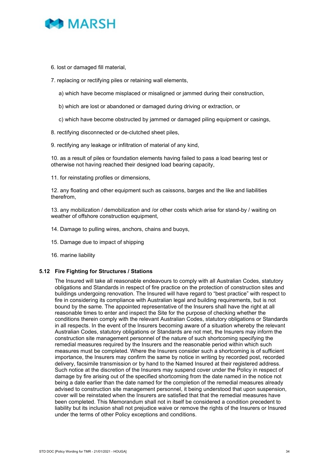

- 6. lost or damaged fill material,
- 7. replacing or rectifying piles or retaining wall elements,
	- a) which have become misplaced or misaligned or jammed during their construction,
	- b) which are lost or abandoned or damaged during driving or extraction, or
	- c) which have become obstructed by jammed or damaged piling equipment or casings,
- 8. rectifying disconnected or de-clutched sheet piles,

9. rectifying any leakage or infiltration of material of any kind,

10. as a result of piles or foundation elements having failed to pass a load bearing test or otherwise not having reached their designed load bearing capacity,

11. for reinstating profiles or dimensions,

12. any floating and other equipment such as caissons, barges and the like and liabilities therefrom,

13. any mobilization / demobilization and /or other costs which arise for stand-by / waiting on weather of offshore construction equipment,

- 14. Damage to pulling wires, anchors, chains and buoys,
- 15. Damage due to impact of shipping
- 16. marine liability

#### <span id="page-37-0"></span>**5.12 Fire Fighting for Structures / Stations**

The Insured will take all reasonable endeavours to comply with all Australian Codes, statutory obligations and Standards in respect of fire practice on the protection of construction sites and buildings undergoing renovation. The Insured will have regard to "best practice" with respect to fire in considering its compliance with Australian legal and building requirements, but is not bound by the same. The appointed representative of the Insurers shall have the right at all reasonable times to enter and inspect the Site for the purpose of checking whether the conditions therein comply with the relevant Australian Codes, statutory obligations or Standards in all respects. In the event of the Insurers becoming aware of a situation whereby the relevant Australian Codes, statutory obligations or Standards are not met, the Insurers may inform the construction site management personnel of the nature of such shortcoming specifying the remedial measures required by the Insurers and the reasonable period within which such measures must be completed. Where the Insurers consider such a shortcoming is of sufficient importance, the Insurers may confirm the same by notice in writing by recorded post, recorded delivery, facsimile transmission or by hand to the Named Insured at their registered address. Such notice at the discretion of the Insurers may suspend cover under the Policy in respect of damage by fire arising out of the specified shortcoming from the date named in the notice not being a date earlier than the date named for the completion of the remedial measures already advised to construction site management personnel, it being understood that upon suspension, cover will be reinstated when the Insurers are satisfied that that the remedial measures have been completed. This Memorandum shall not in itself be considered a condition precedent to liability but its inclusion shall not prejudice waive or remove the rights of the Insurers or Insured under the terms of other Policy exceptions and conditions.